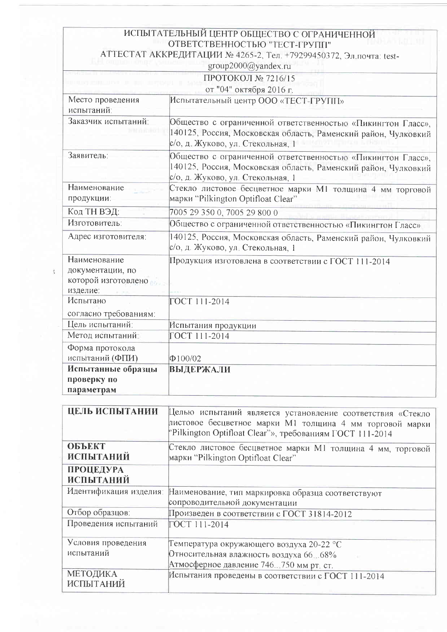|                                                                     | ИСПЫТАТЕЛЬНЫЙ ЦЕНТР ОБЩЕСТВО С ОГРАНИЧЕННОЙ<br>ОТВЕТСТВЕННОСТЬЮ "ТЕСТ-ГРУПП"                                                                                       |  |
|---------------------------------------------------------------------|--------------------------------------------------------------------------------------------------------------------------------------------------------------------|--|
|                                                                     | АТТЕСТАТ АККРЕДИТАЦИИ № 4265-2, Тел. +79299450372, Эл почта: test-<br>group2000@yandex.ru                                                                          |  |
|                                                                     | ПРОТОКОЛ № 7216/15                                                                                                                                                 |  |
|                                                                     | от "04" октября 2016 г.                                                                                                                                            |  |
| Место проведения<br>испытаний:                                      | Испытательный центр ООО «ТЕСТ-ГРУПП»                                                                                                                               |  |
| Заказчик испытаний:                                                 | Общество с ограниченной ответственностью «Пикингтон Гласс»,<br>140125, Россия, Московская область, Раменский район, Чулковкий<br>с/о, д. Жуково, ул. Стекольная, 1 |  |
| Заявитель:                                                          | Общество с ограниченной ответственностью «Пикингтон Гласс»,<br>140125, Россия, Московская область, Раменский район, Чулковкий<br>с/о, д. Жуково, ул. Стекольная, 1 |  |
| Наименование<br>продукции:                                          | Стекло листовое бесцветное марки М1 толщина 4 мм торговой<br>марки "Pilkington Optifloat Clear"                                                                    |  |
| Код ТН ВЭД:                                                         | 7005 29 350 0, 7005 29 800 0                                                                                                                                       |  |
| Изготовитель:                                                       | Общество с ограниченной ответственностью «Пикингтон Гласс»                                                                                                         |  |
| Адрес изготовителя:                                                 | 140125, Россия, Московская область, Раменский район, Чулковкий<br>с/о, д. Жуково, ул. Стекольная, 1                                                                |  |
| Наименование<br>документации, по<br>которой изготовлено<br>изделие: | Продукция изготовлена в соответствии с ГОСТ 111-2014                                                                                                               |  |
| Испытано<br>согласно требованиям:                                   | ГОСТ 111-2014                                                                                                                                                      |  |
| Цель испытаний:                                                     | Испытания продукции                                                                                                                                                |  |
| Метод испытаний:                                                    | ГОСТ 111-2014                                                                                                                                                      |  |
| Форма протокола<br>испытаний (ФПИ)                                  | $\Phi$ 100/02                                                                                                                                                      |  |
| Испытанные образцы<br>проверку по<br>параметрам                     | <b>ВЫДЕРЖАЛИ</b>                                                                                                                                                   |  |

 $\mathfrak{t}$ 

| ЦЕЛЬ ИСПЫТАНИИ                    | Целью испытаний является установление соответствия «Стекло<br>листовое бесцветное марки M1 толщина 4 мм торговой марки<br>Pilkington Optifloat Clear"», требованиям ГОСТ 111-2014 |  |  |
|-----------------------------------|-----------------------------------------------------------------------------------------------------------------------------------------------------------------------------------|--|--|
| <b>ОБЪЕКТ</b><br><b>ИСПЫТАНИЙ</b> | Стекло листовое бесцветное марки М1 толщина 4 мм, торговой<br>марки "Pilkington Optifloat Clear"                                                                                  |  |  |
| ПРОЦЕДУРА<br><b>ИСПЫТАНИЙ</b>     |                                                                                                                                                                                   |  |  |
|                                   | Идентификация изделия: Наименование, тип маркировка образца соответствуют<br>сопроводительной документации                                                                        |  |  |
| Отбор образцов:                   | Произведен в соответствии с ГОСТ 31814-2012                                                                                                                                       |  |  |
| Проведения испытаний              | ГОСТ 111-2014                                                                                                                                                                     |  |  |
| Условия проведения                | Температура окружающего воздуха 20-22 °С                                                                                                                                          |  |  |
| испытаний                         | Относительная влажность воздуха 66. 68%                                                                                                                                           |  |  |
|                                   | Атмосферное давление 746750 мм рт. ст.                                                                                                                                            |  |  |
| МЕТОДИКА<br>ИСПЫТАНИЙ             | Испытания проведены в соответствии с ГОСТ 111-2014                                                                                                                                |  |  |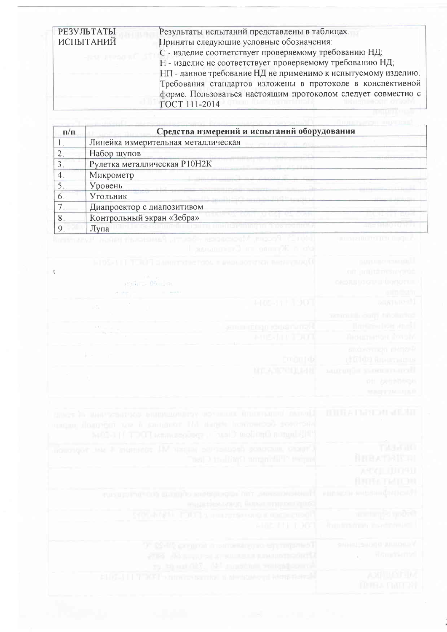| РЕЗУЛЬТАТЫ                                                                                                                                                                                                                                                                                                                                                                                                                                                                                            | Результаты испытаний представлены в таблицах.                 |
|-------------------------------------------------------------------------------------------------------------------------------------------------------------------------------------------------------------------------------------------------------------------------------------------------------------------------------------------------------------------------------------------------------------------------------------------------------------------------------------------------------|---------------------------------------------------------------|
| ИСПЫТАНИЙ                                                                                                                                                                                                                                                                                                                                                                                                                                                                                             | Приняты следующие условные обозначения:                       |
|                                                                                                                                                                                                                                                                                                                                                                                                                                                                                                       | С - изделие соответствует проверяемому требованию НД;         |
| $\begin{aligned} \begin{aligned} \mathcal{L}_{\mathcal{A}}\left( \mathcal{L}_{\mathcal{A}}\right) & =\mathcal{L}_{\mathcal{A}}\left( \mathcal{L}_{\mathcal{A}}\right) \mathcal{L}_{\mathcal{A}}\left( \mathcal{L}_{\mathcal{A}}\right) \mathcal{L}_{\mathcal{A}}\left( \mathcal{L}_{\mathcal{A}}\right) \mathcal{L}_{\mathcal{A}}\left( \mathcal{L}_{\mathcal{A}}\right) \mathcal{L}_{\mathcal{A}}\left( \mathcal{L}_{\mathcal{A}}\right) \mathcal{L}_{\mathcal{A}}\left( \mathcal{L}_{\mathcal{A}}\$ | Н - изделие не соответствует проверяемому требованию НД;      |
|                                                                                                                                                                                                                                                                                                                                                                                                                                                                                                       | НП - данное требование НД не применимо к испытуемому изделию. |
|                                                                                                                                                                                                                                                                                                                                                                                                                                                                                                       | Требования стандартов изложены в протоколе в конспективной    |
|                                                                                                                                                                                                                                                                                                                                                                                                                                                                                                       | форме. Пользоваться настоящим протоколом следует совместно с  |
|                                                                                                                                                                                                                                                                                                                                                                                                                                                                                                       | ГОСТ 111-2014                                                 |

| $\Pi/\Pi$ | Средства измерений и испытаний оборудования |  |  |
|-----------|---------------------------------------------|--|--|
|           | Линейка измерительная металлическая         |  |  |
|           | Набор щупов                                 |  |  |
|           | Рулетка металлическая Р10Н2К                |  |  |
|           | Микрометр                                   |  |  |
|           | Уровень                                     |  |  |
| O         | Угольник                                    |  |  |
|           | Диапроектор с диапозитивом                  |  |  |
| 8         | Контрольный экран «Зебра»                   |  |  |
| Q         | Лупа                                        |  |  |

|                                                                                                    | <u> 1999 - Jan Bandard a Bernard Barnett (bandarík 1995 - 1996), fránsk</u> |                                                                                      |  |
|----------------------------------------------------------------------------------------------------|-----------------------------------------------------------------------------|--------------------------------------------------------------------------------------|--|
| 1-103-111 TOUR SUMMITCHEFOOL & MOLDONTEN RENEWARD<br>atteilums döverken.<br>6日の 一<br>THE REPORT OF |                                                                             | <b>BURLERCHESACHILLE</b><br>AUT IN INTERNATION<br>ORDAS PIGNIE MONDELL<br>olm fishir |  |
| $\mathcal{O}(N)$                                                                                   | <b>HOS-JE 1901</b>                                                          | DESCRIPTED.                                                                          |  |
|                                                                                                    |                                                                             | MOTORO LOGO LIBRO DE S                                                               |  |
|                                                                                                    | amin'ny fisiala amin'ny fivondronan-k                                       | <b>Ruthern WH And L</b>                                                              |  |
|                                                                                                    | <b>MUS IN TOUR</b>                                                          | Лижетантон Фунза                                                                     |  |
| a province and                                                                                     |                                                                             | stobernich merze?                                                                    |  |
|                                                                                                    | pmpp t dx                                                                   | (ФПООЗ) Впредставитель                                                               |  |
|                                                                                                    | <b>MILANDUMAR</b>                                                           | мненной укреплателей.                                                                |  |
|                                                                                                    |                                                                             | 21 2010 1000 15                                                                      |  |
|                                                                                                    |                                                                             | <b>MARINA MARI</b>                                                                   |  |

| Пример на постояния в породном постояния состояния «Ганда».<br>sugar doggeger to i jarigent Hi Happy herrostop) soversed<br>MOI-1 (1 TDOT sammendeg: OusiD moiling autoplatit) | <b>NURA BARDAI SELAH</b>                               |
|--------------------------------------------------------------------------------------------------------------------------------------------------------------------------------|--------------------------------------------------------|
| полотост на 1 заинност IIV читы одугашего возоташ, отнит,<br>Tel D Halling Lungmill To Many                                                                                    | Tatas act<br>自由国大学科学科                                  |
|                                                                                                                                                                                | ASSET JUDGED<br><b>BRITATION</b>                       |
| furthermore, this appeal of this christian (001) and current<br>magaches ways fare compositions                                                                                | HIRSCOFFINSHIARSHOP                                    |
| 500-ktdhi. TOOT a nuurerse ong a materiald                                                                                                                                     | an implementation                                      |
| AND THE 1969.                                                                                                                                                                  | endo to tampe, and consistence                         |
| 17 09-18, pregnan motivarial egy targanles.<br>2714 Assembly services presentation of<br>re blood fill, 58 months religions A                                                  | <b>RAIM-JEAN OR IT JULIUDALE V</b><br><b>Rangfield</b> |
| SHIGH II TEMPI Shimon tarrital natural story i kiri@perch                                                                                                                      | <b>ADDITION</b><br><b>MURA TMITA!</b>                  |